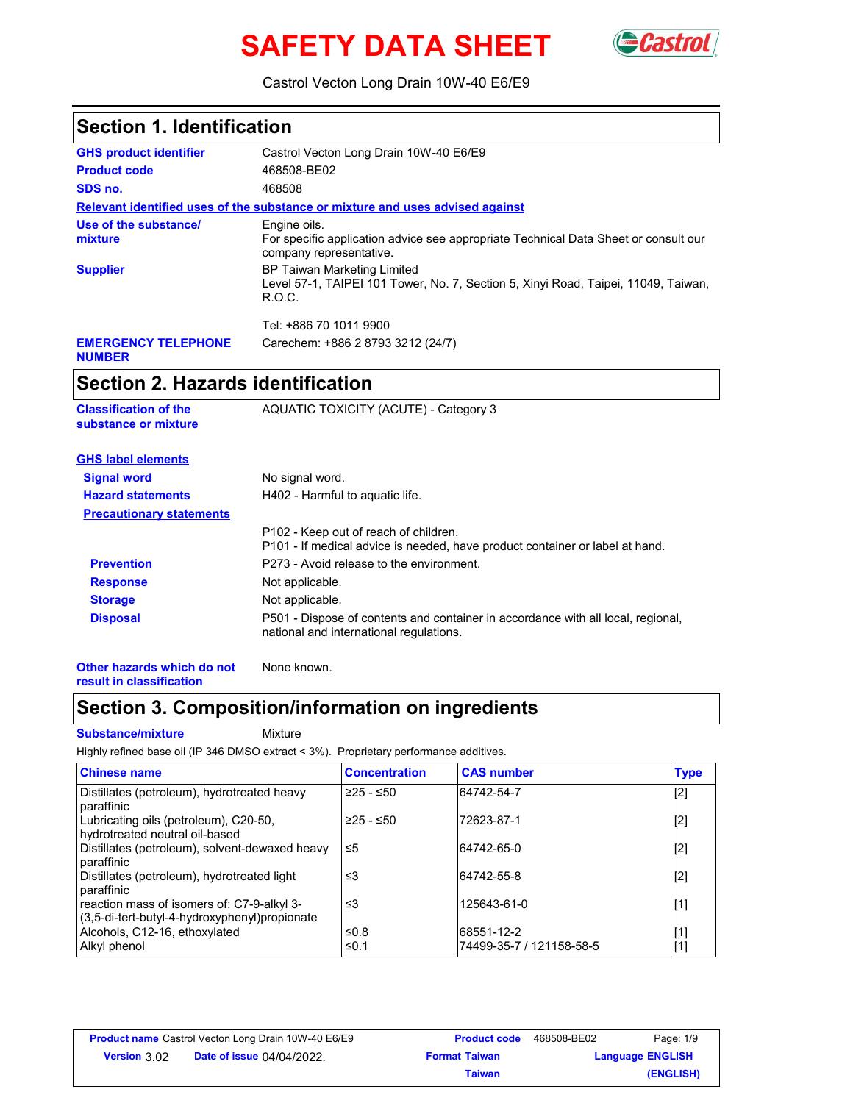# **SAFETY DATA SHEET** GCastr



Castrol Vecton Long Drain 10W-40 E6/E9

| <b>Section 1. Identification</b>                     |                                                                                                                                    |  |  |
|------------------------------------------------------|------------------------------------------------------------------------------------------------------------------------------------|--|--|
| <b>GHS product identifier</b>                        | Castrol Vecton Long Drain 10W-40 E6/E9                                                                                             |  |  |
| <b>Product code</b>                                  | 468508-BE02                                                                                                                        |  |  |
| SDS no.                                              | 468508                                                                                                                             |  |  |
|                                                      | Relevant identified uses of the substance or mixture and uses advised against                                                      |  |  |
| Use of the substance/<br>mixture                     | Engine oils.<br>For specific application advice see appropriate Technical Data Sheet or consult our<br>company representative.     |  |  |
| <b>Supplier</b>                                      | <b>BP Taiwan Marketing Limited</b><br>Level 57-1, TAIPEI 101 Tower, No. 7, Section 5, Xinyi Road, Taipei, 11049, Taiwan,<br>R.O.C. |  |  |
|                                                      | Tel: +886 70 1011 9900                                                                                                             |  |  |
| <b>EMERGENCY TELEPHONE</b><br><b>NUMBER</b>          | Carechem: +886 2 8793 3212 (24/7)                                                                                                  |  |  |
| <b>Section 2. Hazards identification</b>             |                                                                                                                                    |  |  |
| <b>Classification of the</b><br>substance or mixture | AQUATIC TOXICITY (ACUTE) - Category 3                                                                                              |  |  |
| <b>GHS label elements</b>                            |                                                                                                                                    |  |  |
| <b>Signal word</b>                                   | No signal word.                                                                                                                    |  |  |
| <b>Hazard statements</b>                             | H402 - Harmful to aquatic life.                                                                                                    |  |  |
| <b>Precautionary statements</b>                      |                                                                                                                                    |  |  |
|                                                      | P102 - Keep out of reach of children.<br>P101 - If medical advice is needed, have product container or label at hand.              |  |  |
| <b>Prevention</b>                                    | P273 - Avoid release to the environment.                                                                                           |  |  |
| <b>Response</b>                                      | Not applicable.                                                                                                                    |  |  |
| <b>Storage</b>                                       | Not applicable.                                                                                                                    |  |  |
| <b>Disposal</b>                                      | P501 - Dispose of contents and container in accordance with all local, regional,<br>national and international regulations.        |  |  |

**Other hazards which do not result in classification**

## **Section 3. Composition/information on ingredients**

#### **Substance/mixture Mixture**

Highly refined base oil (IP 346 DMSO extract < 3%). Proprietary performance additives.

None known.

| <b>Chinese name</b>                                                                         | <b>Concentration</b> | <b>CAS number</b>                      | <b>Type</b>    |
|---------------------------------------------------------------------------------------------|----------------------|----------------------------------------|----------------|
| Distillates (petroleum), hydrotreated heavy<br>paraffinic                                   | $≥25 - ≤50$          | 64742-54-7                             | $[2]$          |
| Lubricating oils (petroleum), C20-50,<br>hydrotreated neutral oil-based                     | $≥25 - ≤50$          | 72623-87-1                             | $[2]$          |
| Distillates (petroleum), solvent-dewaxed heavy<br>paraffinic                                | ≤5                   | 64742-65-0                             | $[2]$          |
| Distillates (petroleum), hydrotreated light<br>paraffinic                                   | ≤3                   | 64742-55-8                             | $[2]$          |
| reaction mass of isomers of: C7-9-alkyl 3-<br>(3,5-di-tert-butyl-4-hydroxyphenyl)propionate | ≤3                   | 125643-61-0                            | $[1]$          |
| Alcohols, C12-16, ethoxylated<br>Alkyl phenol                                               | ≤ $0.8$<br>≤0.1      | 68551-12-2<br>74499-35-7 / 121158-58-5 | $[1]$<br>$[1]$ |

| <b>Product name</b> Castrol Vecton Long Drain 10W-40 E6/E9 |  | <b>Product code</b>  | 468508-BE02 | Page: 1/9               |
|------------------------------------------------------------|--|----------------------|-------------|-------------------------|
| <b>Date of issue 04/04/2022.</b><br><b>Version 3.02</b>    |  | <b>Format Taiwan</b> |             | <b>Language ENGLISH</b> |
|                                                            |  | Taiwan               |             | (ENGLISH)               |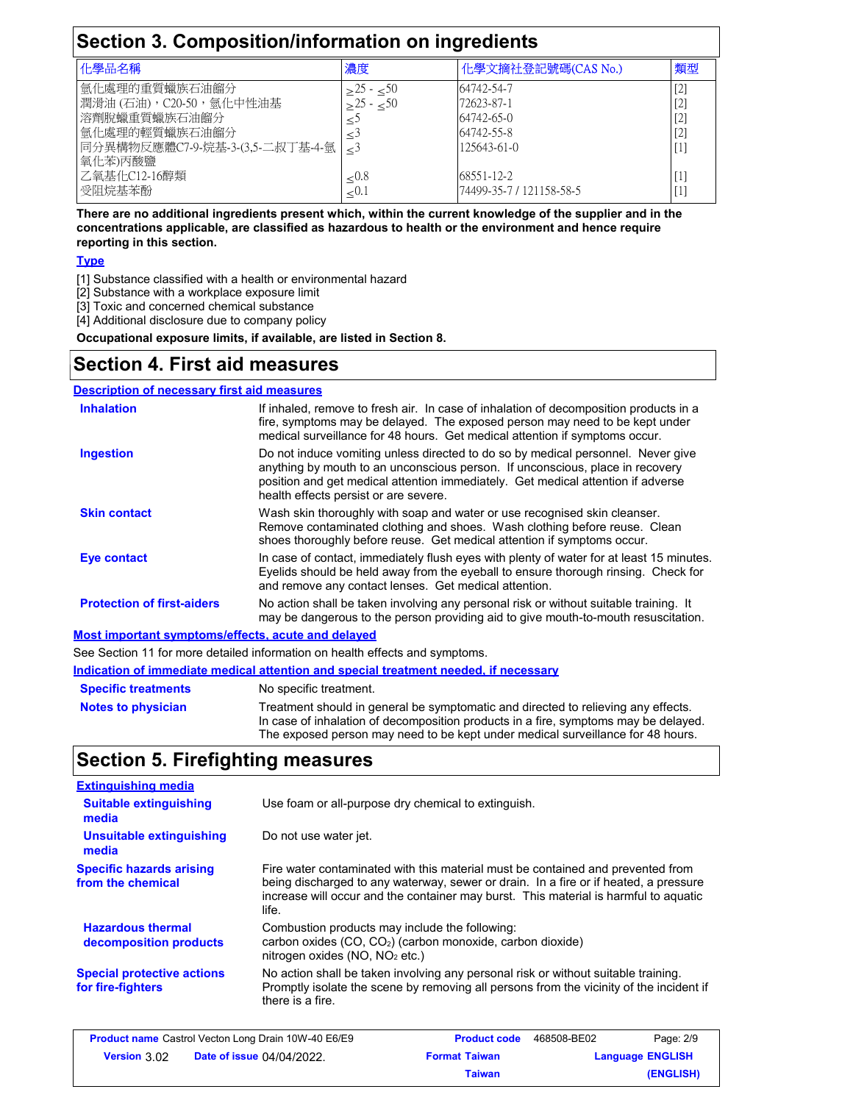| Section 3. Composition/information on ingredients |                 |                           |         |
|---------------------------------------------------|-----------------|---------------------------|---------|
| 化學品名稱                                             | 濃度              | 化學文摘社登記號碼(CAS No.)        | 類型      |
| 氫化處理的重質蠟族石油餾分                                     | $>$ 25 - $<$ 50 | 64742-54-7                | [2]     |
| 潤滑油(石油), C20-50, 氫化中性油基                           | $>25 - 50$      | 72623-87-1                | [2]     |
| 溶劑脫蠟重質蠟族石油餾分                                      |                 | 64742-65-0                | [2]     |
| 氫化處理的輕質蠟族石油餾分                                     |                 | 64742-55-8                | [2]     |
| 同分異構物反應體C7-9-烷基-3-(3,5-二叔丁基-4-氫<br>氧化苯)丙酸鹽        |                 | 125643-61-0               | [1]     |
| 乙氧基化C12-16醇類                                      | $\leq 0.8$      | 68551-12-2                | [1]     |
| 受阻烷基苯酚                                            | ${<}0.1$        | 174499-35-7 / 121158-58-5 | $\perp$ |

**There are no additional ingredients present which, within the current knowledge of the supplier and in the concentrations applicable, are classified as hazardous to health or the environment and hence require reporting in this section.**

#### **Type**

[1] Substance classified with a health or environmental hazard

[2] Substance with a workplace exposure limit

[3] Toxic and concerned chemical substance

[4] Additional disclosure due to company policy

**Occupational exposure limits, if available, are listed in Section 8.**

## **Section 4. First aid measures**

| <b>Description of necessary first aid measures</b> |                                                                                                                                                                                                                                                                                                |
|----------------------------------------------------|------------------------------------------------------------------------------------------------------------------------------------------------------------------------------------------------------------------------------------------------------------------------------------------------|
| <b>Inhalation</b>                                  | If inhaled, remove to fresh air. In case of inhalation of decomposition products in a<br>fire, symptoms may be delayed. The exposed person may need to be kept under<br>medical surveillance for 48 hours. Get medical attention if symptoms occur.                                            |
| <b>Ingestion</b>                                   | Do not induce vomiting unless directed to do so by medical personnel. Never give<br>anything by mouth to an unconscious person. If unconscious, place in recovery<br>position and get medical attention immediately. Get medical attention if adverse<br>health effects persist or are severe. |
| <b>Skin contact</b>                                | Wash skin thoroughly with soap and water or use recognised skin cleanser.<br>Remove contaminated clothing and shoes. Wash clothing before reuse. Clean<br>shoes thoroughly before reuse. Get medical attention if symptoms occur.                                                              |
| Eye contact                                        | In case of contact, immediately flush eyes with plenty of water for at least 15 minutes.<br>Eyelids should be held away from the eyeball to ensure thorough rinsing. Check for<br>and remove any contact lenses. Get medical attention.                                                        |
| <b>Protection of first-aiders</b>                  | No action shall be taken involving any personal risk or without suitable training. It<br>may be dangerous to the person providing aid to give mouth-to-mouth resuscitation.                                                                                                                    |
| Most important symptoms/effects, acute and delayed |                                                                                                                                                                                                                                                                                                |

See Section 11 for more detailed information on health effects and symptoms.

| <u>Indication of immediate medical attention and special treatment needed, if necessary</u> |                                                                                                                                                                                                                                                             |  |
|---------------------------------------------------------------------------------------------|-------------------------------------------------------------------------------------------------------------------------------------------------------------------------------------------------------------------------------------------------------------|--|
| <b>Specific treatments</b>                                                                  | No specific treatment.                                                                                                                                                                                                                                      |  |
| <b>Notes to physician</b>                                                                   | Treatment should in general be symptomatic and directed to relieving any effects.<br>In case of inhalation of decomposition products in a fire, symptoms may be delayed.<br>The exposed person may need to be kept under medical surveillance for 48 hours. |  |

## **Section 5. Firefighting measures**

| <b>Extinguishing media</b>                             |                                                                                                                                                                                                                                                                          |
|--------------------------------------------------------|--------------------------------------------------------------------------------------------------------------------------------------------------------------------------------------------------------------------------------------------------------------------------|
| <b>Suitable extinguishing</b><br>media                 | Use foam or all-purpose dry chemical to extinguish.                                                                                                                                                                                                                      |
| Unsuitable extinguishing<br>media                      | Do not use water jet.                                                                                                                                                                                                                                                    |
| <b>Specific hazards arising</b><br>from the chemical   | Fire water contaminated with this material must be contained and prevented from<br>being discharged to any waterway, sewer or drain. In a fire or if heated, a pressure<br>increase will occur and the container may burst. This material is harmful to aguatic<br>life. |
| <b>Hazardous thermal</b><br>decomposition products     | Combustion products may include the following:<br>carbon oxides (CO, CO <sub>2</sub> ) (carbon monoxide, carbon dioxide)<br>nitrogen oxides $(NO, NO2 etc.)$                                                                                                             |
| <b>Special protective actions</b><br>for fire-fighters | No action shall be taken involving any personal risk or without suitable training.<br>Promptly isolate the scene by removing all persons from the vicinity of the incident if<br>there is a fire.                                                                        |

| <b>Product name</b> Castrol Vecton Long Drain 10W-40 E6/E9 |  | <b>Product code</b>  | 468508-BE02 | Page: 2/9               |
|------------------------------------------------------------|--|----------------------|-------------|-------------------------|
| <b>Date of issue 04/04/2022.</b><br>Version 3.02           |  | <b>Format Taiwan</b> |             | <b>Language ENGLISH</b> |
|                                                            |  | Taiwan               |             | (ENGLISH)               |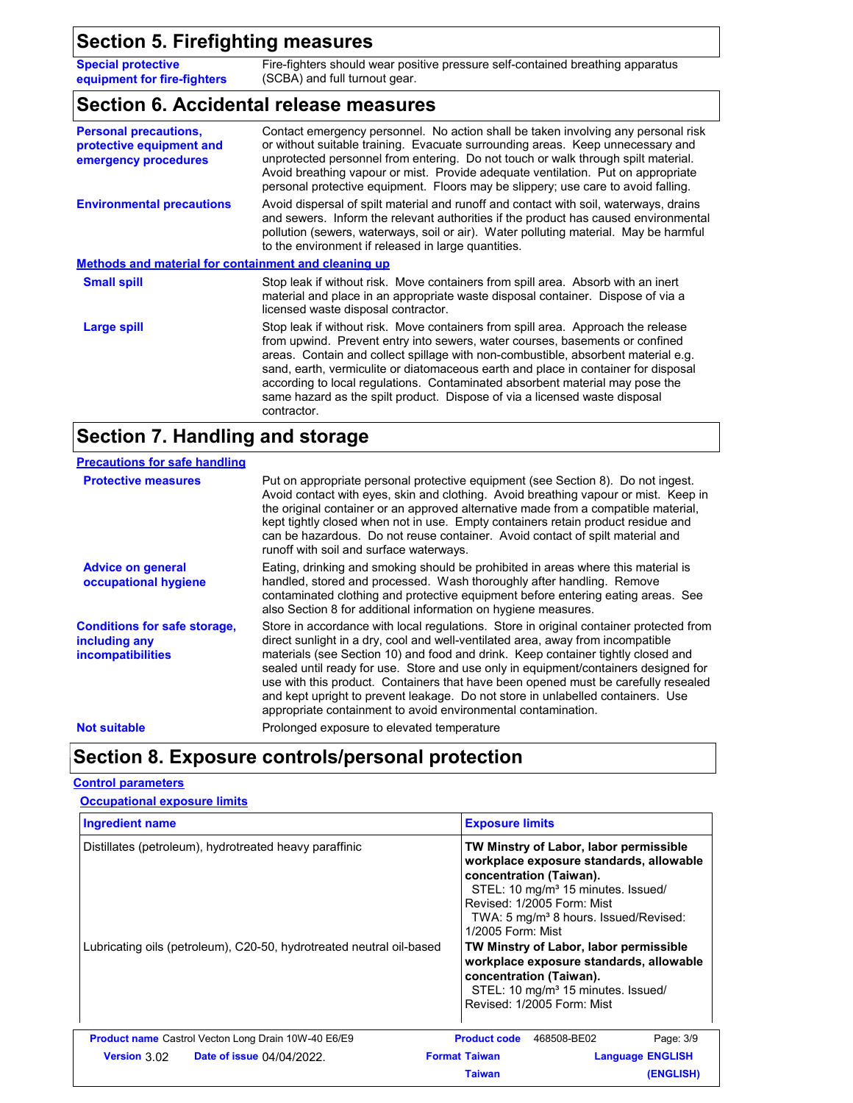**Special protective equipment for fire-fighters** Fire-fighters should wear positive pressure self-contained breathing apparatus (SCBA) and full turnout gear.

#### **Section 6. Accidental release measures**

| <b>Personal precautions,</b><br>protective equipment and<br>emergency procedures | Contact emergency personnel. No action shall be taken involving any personal risk<br>or without suitable training. Evacuate surrounding areas. Keep unnecessary and<br>unprotected personnel from entering. Do not touch or walk through spilt material.<br>Avoid breathing vapour or mist. Provide adequate ventilation. Put on appropriate<br>personal protective equipment. Floors may be slippery; use care to avoid falling.                                                                                        |
|----------------------------------------------------------------------------------|--------------------------------------------------------------------------------------------------------------------------------------------------------------------------------------------------------------------------------------------------------------------------------------------------------------------------------------------------------------------------------------------------------------------------------------------------------------------------------------------------------------------------|
| <b>Environmental precautions</b>                                                 | Avoid dispersal of spilt material and runoff and contact with soil, waterways, drains<br>and sewers. Inform the relevant authorities if the product has caused environmental<br>pollution (sewers, waterways, soil or air). Water polluting material. May be harmful<br>to the environment if released in large quantities.                                                                                                                                                                                              |
| <b>Methods and material for containment and cleaning up</b>                      |                                                                                                                                                                                                                                                                                                                                                                                                                                                                                                                          |
| <b>Small spill</b>                                                               | Stop leak if without risk. Move containers from spill area. Absorb with an inert<br>material and place in an appropriate waste disposal container. Dispose of via a<br>licensed waste disposal contractor.                                                                                                                                                                                                                                                                                                               |
| Large spill                                                                      | Stop leak if without risk. Move containers from spill area. Approach the release<br>from upwind. Prevent entry into sewers, water courses, basements or confined<br>areas. Contain and collect spillage with non-combustible, absorbent material e.g.<br>sand, earth, vermiculite or diatomaceous earth and place in container for disposal<br>according to local regulations. Contaminated absorbent material may pose the<br>same hazard as the spilt product. Dispose of via a licensed waste disposal<br>contractor. |

## **Section 7. Handling and storage**

| <b>Precautions for safe handling</b>                                             |                                                                                                                                                                                                                                                                                                                                                                                                                                                                                                                                                                                                |
|----------------------------------------------------------------------------------|------------------------------------------------------------------------------------------------------------------------------------------------------------------------------------------------------------------------------------------------------------------------------------------------------------------------------------------------------------------------------------------------------------------------------------------------------------------------------------------------------------------------------------------------------------------------------------------------|
| <b>Protective measures</b>                                                       | Put on appropriate personal protective equipment (see Section 8). Do not ingest.<br>Avoid contact with eyes, skin and clothing. Avoid breathing vapour or mist. Keep in<br>the original container or an approved alternative made from a compatible material,<br>kept tightly closed when not in use. Empty containers retain product residue and<br>can be hazardous. Do not reuse container. Avoid contact of spilt material and<br>runoff with soil and surface waterways.                                                                                                                  |
| <b>Advice on general</b><br>occupational hygiene                                 | Eating, drinking and smoking should be prohibited in areas where this material is<br>handled, stored and processed. Wash thoroughly after handling. Remove<br>contaminated clothing and protective equipment before entering eating areas. See<br>also Section 8 for additional information on hygiene measures.                                                                                                                                                                                                                                                                               |
| <b>Conditions for safe storage,</b><br>including any<br><i>incompatibilities</i> | Store in accordance with local regulations. Store in original container protected from<br>direct sunlight in a dry, cool and well-ventilated area, away from incompatible<br>materials (see Section 10) and food and drink. Keep container tightly closed and<br>sealed until ready for use. Store and use only in equipment/containers designed for<br>use with this product. Containers that have been opened must be carefully resealed<br>and kept upright to prevent leakage. Do not store in unlabelled containers. Use<br>appropriate containment to avoid environmental contamination. |
| <b>Not suitable</b>                                                              | Prolonged exposure to elevated temperature                                                                                                                                                                                                                                                                                                                                                                                                                                                                                                                                                     |

# **Section 8. Exposure controls/personal protection**

#### **Control parameters**

#### **Occupational exposure limits**

| <b>Ingredient name</b>                                               | <b>Exposure limits</b>                                                                                                                                                                                                                                                 |
|----------------------------------------------------------------------|------------------------------------------------------------------------------------------------------------------------------------------------------------------------------------------------------------------------------------------------------------------------|
| Distillates (petroleum), hydrotreated heavy paraffinic               | TW Minstry of Labor, labor permissible<br>workplace exposure standards, allowable<br>concentration (Taiwan).<br>STEL: 10 mg/m <sup>3</sup> 15 minutes. Issued/<br>Revised: 1/2005 Form: Mist<br>TWA: 5 mg/m <sup>3</sup> 8 hours. Issued/Revised:<br>1/2005 Form: Mist |
| Lubricating oils (petroleum), C20-50, hydrotreated neutral oil-based | TW Minstry of Labor, labor permissible<br>workplace exposure standards, allowable<br>concentration (Taiwan).<br>STEL: 10 mg/m <sup>3</sup> 15 minutes. Issued/<br>Revised: 1/2005 Form: Mist                                                                           |
| <b>Product name</b> Castrol Vecton Long Drain 10W-40 E6/E9           | Page: 3/9<br><b>Product code</b><br>468508-BE02                                                                                                                                                                                                                        |
| Version $3.02$ Date of issue $04/04/2022$ .                          | <b>Format Taiwan</b><br><b>Language ENGLISH</b>                                                                                                                                                                                                                        |
|                                                                      | (ENGLISH)<br><b>Taiwan</b>                                                                                                                                                                                                                                             |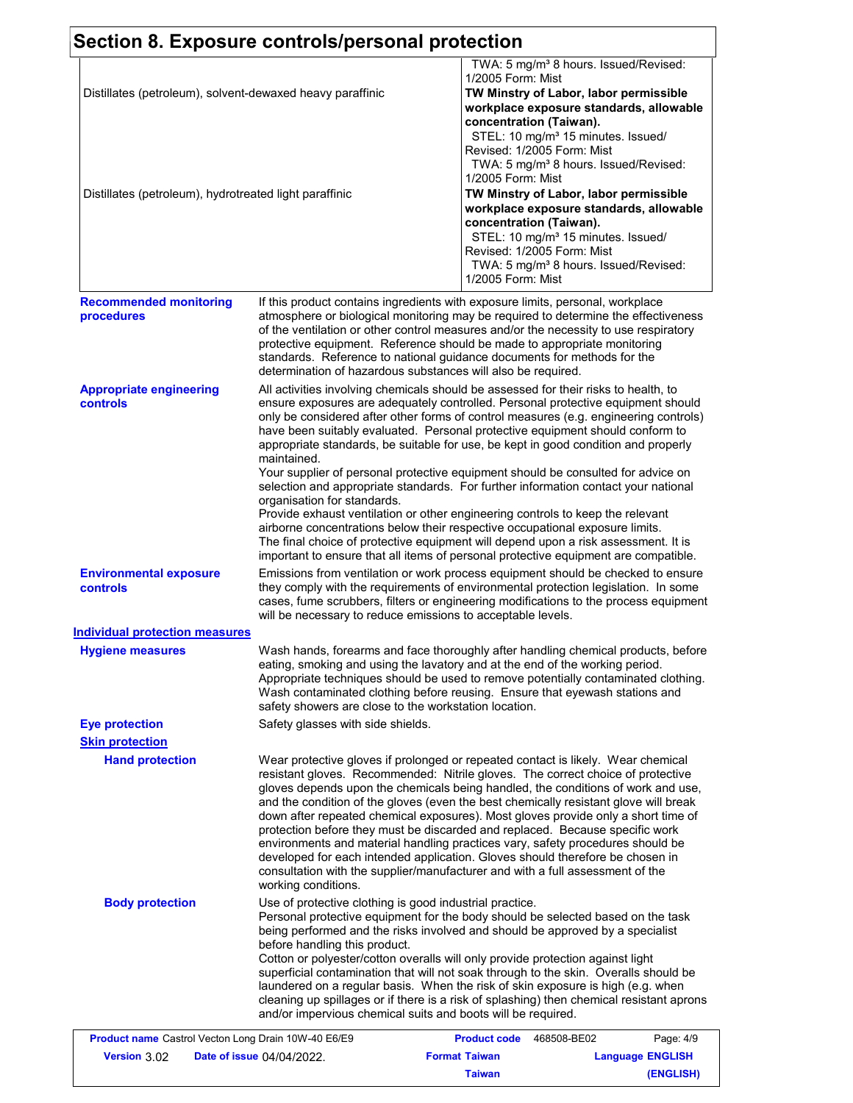|                                                                                                                     | Section 8. Exposure controls/personal protection                                                                                                                                                                                                                                                                                                                                                                                                                                                                                                                                                                                                                                                                                                                                                                                                                                                                       |                                                                                                                                                                                                                                                                                                                                                                                            |  |
|---------------------------------------------------------------------------------------------------------------------|------------------------------------------------------------------------------------------------------------------------------------------------------------------------------------------------------------------------------------------------------------------------------------------------------------------------------------------------------------------------------------------------------------------------------------------------------------------------------------------------------------------------------------------------------------------------------------------------------------------------------------------------------------------------------------------------------------------------------------------------------------------------------------------------------------------------------------------------------------------------------------------------------------------------|--------------------------------------------------------------------------------------------------------------------------------------------------------------------------------------------------------------------------------------------------------------------------------------------------------------------------------------------------------------------------------------------|--|
| Distillates (petroleum), solvent-dewaxed heavy paraffinic<br>Distillates (petroleum), hydrotreated light paraffinic |                                                                                                                                                                                                                                                                                                                                                                                                                                                                                                                                                                                                                                                                                                                                                                                                                                                                                                                        | TWA: 5 mg/m <sup>3</sup> 8 hours. Issued/Revised:<br>1/2005 Form: Mist<br>TW Minstry of Labor, labor permissible<br>workplace exposure standards, allowable<br>concentration (Taiwan).<br>STEL: 10 mg/m <sup>3</sup> 15 minutes. Issued/<br>Revised: 1/2005 Form: Mist<br>TWA: 5 mg/m <sup>3</sup> 8 hours. Issued/Revised:<br>1/2005 Form: Mist<br>TW Minstry of Labor, labor permissible |  |
|                                                                                                                     |                                                                                                                                                                                                                                                                                                                                                                                                                                                                                                                                                                                                                                                                                                                                                                                                                                                                                                                        | workplace exposure standards, allowable<br>concentration (Taiwan).<br>STEL: 10 mg/m <sup>3</sup> 15 minutes. Issued/<br>Revised: 1/2005 Form: Mist<br>TWA: 5 mg/m <sup>3</sup> 8 hours. Issued/Revised:<br>1/2005 Form: Mist                                                                                                                                                               |  |
| <b>Recommended monitoring</b><br>procedures                                                                         | If this product contains ingredients with exposure limits, personal, workplace<br>atmosphere or biological monitoring may be required to determine the effectiveness<br>of the ventilation or other control measures and/or the necessity to use respiratory<br>protective equipment. Reference should be made to appropriate monitoring<br>standards. Reference to national guidance documents for methods for the<br>determination of hazardous substances will also be required.                                                                                                                                                                                                                                                                                                                                                                                                                                    |                                                                                                                                                                                                                                                                                                                                                                                            |  |
| <b>Appropriate engineering</b><br>controls                                                                          | All activities involving chemicals should be assessed for their risks to health, to<br>ensure exposures are adequately controlled. Personal protective equipment should<br>only be considered after other forms of control measures (e.g. engineering controls)<br>have been suitably evaluated. Personal protective equipment should conform to<br>appropriate standards, be suitable for use, be kept in good condition and properly<br>maintained.<br>Your supplier of personal protective equipment should be consulted for advice on<br>selection and appropriate standards. For further information contact your national<br>organisation for standards.<br>Provide exhaust ventilation or other engineering controls to keep the relevant<br>airborne concentrations below their respective occupational exposure limits.<br>The final choice of protective equipment will depend upon a risk assessment. It is |                                                                                                                                                                                                                                                                                                                                                                                            |  |
| <b>Environmental exposure</b><br>controls                                                                           | important to ensure that all items of personal protective equipment are compatible.<br>Emissions from ventilation or work process equipment should be checked to ensure<br>they comply with the requirements of environmental protection legislation. In some<br>cases, fume scrubbers, filters or engineering modifications to the process equipment<br>will be necessary to reduce emissions to acceptable levels.                                                                                                                                                                                                                                                                                                                                                                                                                                                                                                   |                                                                                                                                                                                                                                                                                                                                                                                            |  |
| <b>Individual protection measures</b>                                                                               |                                                                                                                                                                                                                                                                                                                                                                                                                                                                                                                                                                                                                                                                                                                                                                                                                                                                                                                        |                                                                                                                                                                                                                                                                                                                                                                                            |  |
| <b>Hygiene measures</b>                                                                                             | safety showers are close to the workstation location.                                                                                                                                                                                                                                                                                                                                                                                                                                                                                                                                                                                                                                                                                                                                                                                                                                                                  | Wash hands, forearms and face thoroughly after handling chemical products, before<br>eating, smoking and using the lavatory and at the end of the working period.<br>Appropriate techniques should be used to remove potentially contaminated clothing.<br>Wash contaminated clothing before reusing. Ensure that eyewash stations and                                                     |  |
| <b>Eye protection</b>                                                                                               | Safety glasses with side shields.                                                                                                                                                                                                                                                                                                                                                                                                                                                                                                                                                                                                                                                                                                                                                                                                                                                                                      |                                                                                                                                                                                                                                                                                                                                                                                            |  |
| <b>Skin protection</b>                                                                                              |                                                                                                                                                                                                                                                                                                                                                                                                                                                                                                                                                                                                                                                                                                                                                                                                                                                                                                                        |                                                                                                                                                                                                                                                                                                                                                                                            |  |
| <b>Hand protection</b>                                                                                              | Wear protective gloves if prolonged or repeated contact is likely. Wear chemical<br>resistant gloves. Recommended: Nitrile gloves. The correct choice of protective<br>gloves depends upon the chemicals being handled, the conditions of work and use,<br>and the condition of the gloves (even the best chemically resistant glove will break<br>down after repeated chemical exposures). Most gloves provide only a short time of<br>protection before they must be discarded and replaced. Because specific work<br>environments and material handling practices vary, safety procedures should be<br>developed for each intended application. Gloves should therefore be chosen in<br>consultation with the supplier/manufacturer and with a full assessment of the<br>working conditions.                                                                                                                        |                                                                                                                                                                                                                                                                                                                                                                                            |  |
| <b>Body protection</b>                                                                                              | Use of protective clothing is good industrial practice.<br>Personal protective equipment for the body should be selected based on the task<br>being performed and the risks involved and should be approved by a specialist<br>before handling this product.<br>Cotton or polyester/cotton overalls will only provide protection against light<br>superficial contamination that will not soak through to the skin. Overalls should be<br>laundered on a regular basis. When the risk of skin exposure is high (e.g. when<br>cleaning up spillages or if there is a risk of splashing) then chemical resistant aprons<br>and/or impervious chemical suits and boots will be required.                                                                                                                                                                                                                                  |                                                                                                                                                                                                                                                                                                                                                                                            |  |

| <b>Product name</b> Castrol Vecton Long Drain 10W-40 E6/E9 |                                  | <b>Product code</b>  | 468508-BE02             | Page: 4/9 |
|------------------------------------------------------------|----------------------------------|----------------------|-------------------------|-----------|
| <b>Version 3.02</b>                                        | <b>Date of issue 04/04/2022.</b> | <b>Format Taiwan</b> | <b>Language ENGLISH</b> |           |
|                                                            |                                  | <b>Taiwan</b>        |                         | (ENGLISH) |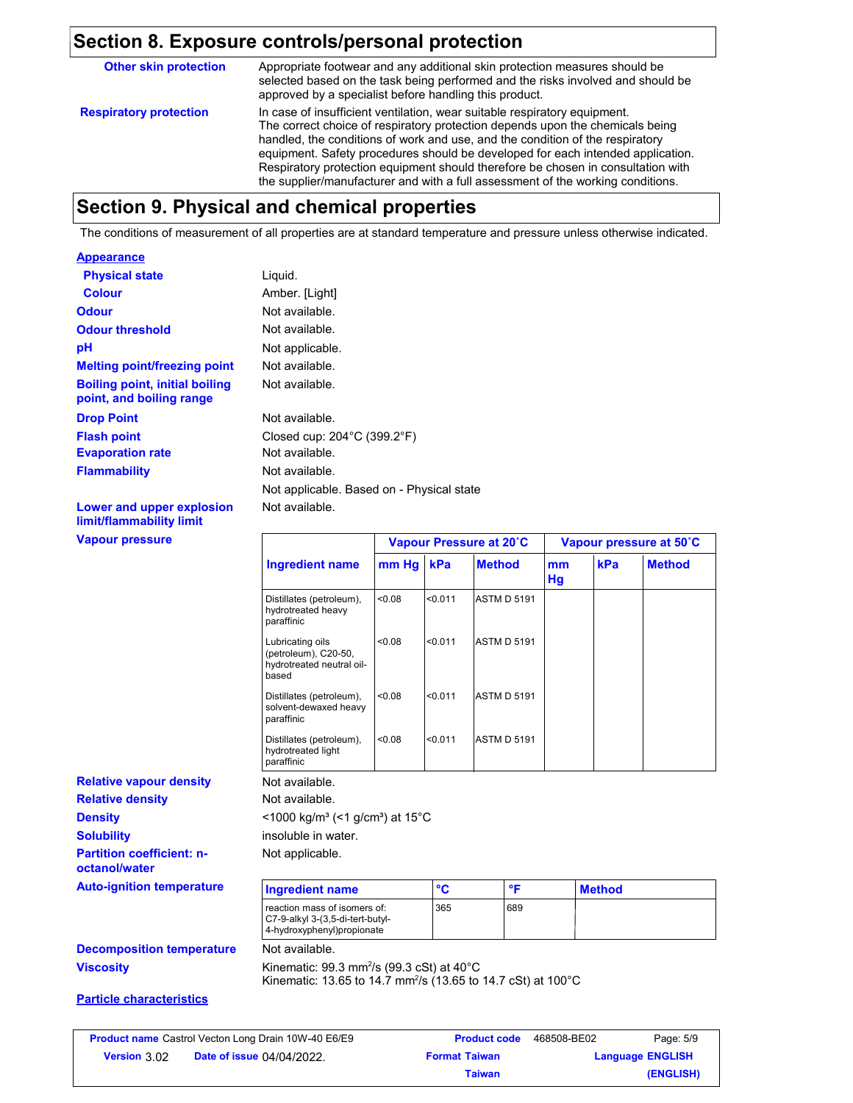#### **Section 8. Exposure controls/personal protection**

In case of insufficient ventilation, wear suitable respiratory equipment. The correct choice of respiratory protection depends upon the chemicals being handled, the conditions of work and use, and the condition of the respiratory equipment. Safety procedures should be developed for each intended application. Respiratory protection equipment should therefore be chosen in consultation with the supplier/manufacturer and with a full assessment of the working conditions. **Respiratory protection Other skin protection** Appropriate footwear and any additional skin protection measures should be selected based on the task being performed and the risks involved and should be approved by a specialist before handling this product.

## **Section 9. Physical and chemical properties**

The conditions of measurement of all properties are at standard temperature and pressure unless otherwise indicated.

#### **Appearance**

| <b>Physical state</b>                                             | Liquid.                                          |
|-------------------------------------------------------------------|--------------------------------------------------|
| <b>Colour</b>                                                     | Amber. [Light]                                   |
| <b>Odour</b>                                                      | Not available.                                   |
| <b>Odour threshold</b>                                            | Not available.                                   |
| рH                                                                | Not applicable.                                  |
| <b>Melting point/freezing point</b>                               | Not available.                                   |
| <b>Boiling point, initial boiling</b><br>point, and boiling range | Not available.                                   |
| <b>Drop Point</b>                                                 | Not available.                                   |
| <b>Flash point</b>                                                | Closed cup: $204^{\circ}$ C (399.2 $^{\circ}$ F) |
| <b>Evaporation rate</b>                                           | Not available.                                   |
| <b>Flammability</b>                                               | Not available.                                   |
|                                                                   | Not applicable. Based on - Physical state        |
| Lower and upper explosion<br>                                     | Not available.                                   |

**limit/flammability limit**

**Vapour pressure**

**Density Solubility**

**octanol/water**

**Relative density** 

|                                                                                |        |                 | Vapour Pressure at 20°C |          |               | Vapour pressure at 50°C |
|--------------------------------------------------------------------------------|--------|-----------------|-------------------------|----------|---------------|-------------------------|
| <b>Ingredient name</b>                                                         | mm Hg  | kPa             | <b>Method</b>           | mm<br>Hg | kPa           | <b>Method</b>           |
| Distillates (petroleum),<br>hydrotreated heavy<br>paraffinic                   | < 0.08 | < 0.011         | <b>ASTM D 5191</b>      |          |               |                         |
| Lubricating oils<br>(petroleum), C20-50,<br>hydrotreated neutral oil-<br>based | < 0.08 | < 0.011         | <b>ASTM D 5191</b>      |          |               |                         |
| Distillates (petroleum),<br>solvent-dewaxed heavy<br>paraffinic                | < 0.08 | < 0.011         | <b>ASTM D 5191</b>      |          |               |                         |
| Distillates (petroleum),<br>hydrotreated light<br>paraffinic                   | < 0.08 | < 0.011         | <b>ASTM D 5191</b>      |          |               |                         |
| Not available.                                                                 |        |                 |                         |          |               |                         |
| Not available.                                                                 |        |                 |                         |          |               |                         |
| $<$ 1000 kg/m <sup>3</sup> (<1 g/cm <sup>3</sup> ) at 15 <sup>°</sup> C        |        |                 |                         |          |               |                         |
| insoluble in water.                                                            |        |                 |                         |          |               |                         |
| Not applicable.                                                                |        |                 |                         |          |               |                         |
| <b>Ingredient name</b>                                                         |        | $\rm ^{\circ}C$ | °F                      |          | <b>Method</b> |                         |
|                                                                                |        |                 |                         |          |               |                         |

**Auto-ignition temperature** reaction mass of isomers of: C7-9-alkyl 3-(3,5-di-tert-butyl-4-hydroxyphenyl)propionate 365 689

#### **Viscosity Decomposition temperature** Not available.

Kinematic: 99.3 mm²/s (99.3 cSt) at 40°C Kinematic: 13.65 to 14.7 mm²/s (13.65 to 14.7 cSt) at 100°C

#### **Particle characteristics**

**Partition coefficient: n-**

**Relative vapour density**

| <b>Product name</b> Castrol Vecton Long Drain 10W-40 E6/E9 |                                  | <b>Product code</b>  | 468508-BE02 | Page: 5/9               |
|------------------------------------------------------------|----------------------------------|----------------------|-------------|-------------------------|
| <b>Version</b> $3.02$                                      | <b>Date of issue 04/04/2022.</b> | <b>Format Taiwan</b> |             | <b>Language ENGLISH</b> |
|                                                            |                                  | <b>Taiwan</b>        |             | (ENGLISH)               |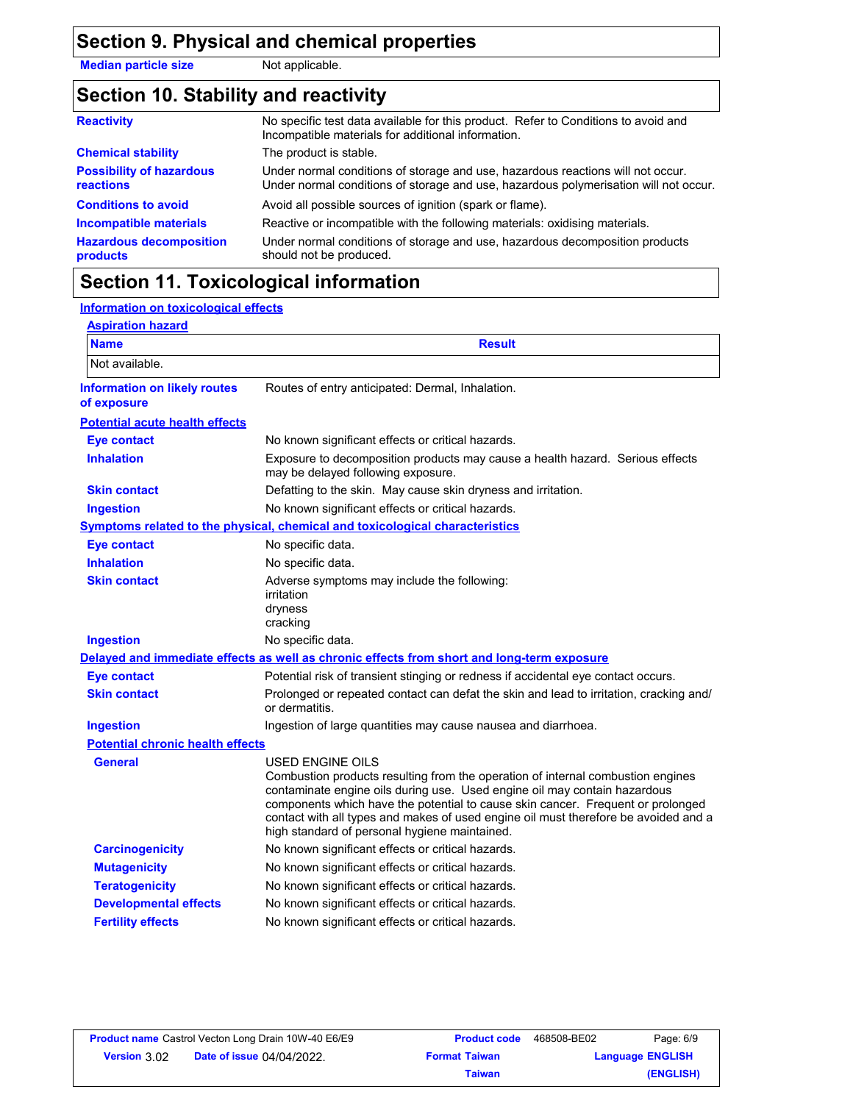## **Section 9. Physical and chemical properties**

**Median particle size** Not applicable.

## **Section 10. Stability and reactivity**

| <b>Reactivity</b>                                   | No specific test data available for this product. Refer to Conditions to avoid and<br>Incompatible materials for additional information.                                |
|-----------------------------------------------------|-------------------------------------------------------------------------------------------------------------------------------------------------------------------------|
| <b>Chemical stability</b>                           | The product is stable.                                                                                                                                                  |
| <b>Possibility of hazardous</b><br><b>reactions</b> | Under normal conditions of storage and use, hazardous reactions will not occur.<br>Under normal conditions of storage and use, hazardous polymerisation will not occur. |
| <b>Conditions to avoid</b>                          | Avoid all possible sources of ignition (spark or flame).                                                                                                                |
| <b>Incompatible materials</b>                       | Reactive or incompatible with the following materials: oxidising materials.                                                                                             |
| <b>Hazardous decomposition</b><br>products          | Under normal conditions of storage and use, hazardous decomposition products<br>should not be produced.                                                                 |

## **Section 11. Toxicological information**

#### **Information on toxicological effects**

| <b>Aspiration hazard</b>                           |                                                                                                                                                                                                                                                                                                                                                                                                             |
|----------------------------------------------------|-------------------------------------------------------------------------------------------------------------------------------------------------------------------------------------------------------------------------------------------------------------------------------------------------------------------------------------------------------------------------------------------------------------|
| <b>Name</b>                                        | <b>Result</b>                                                                                                                                                                                                                                                                                                                                                                                               |
| Not available.                                     |                                                                                                                                                                                                                                                                                                                                                                                                             |
| <b>Information on likely routes</b><br>of exposure | Routes of entry anticipated: Dermal, Inhalation.                                                                                                                                                                                                                                                                                                                                                            |
| <b>Potential acute health effects</b>              |                                                                                                                                                                                                                                                                                                                                                                                                             |
| <b>Eye contact</b>                                 | No known significant effects or critical hazards.                                                                                                                                                                                                                                                                                                                                                           |
| <b>Inhalation</b>                                  | Exposure to decomposition products may cause a health hazard. Serious effects<br>may be delayed following exposure.                                                                                                                                                                                                                                                                                         |
| <b>Skin contact</b>                                | Defatting to the skin. May cause skin dryness and irritation.                                                                                                                                                                                                                                                                                                                                               |
| <b>Ingestion</b>                                   | No known significant effects or critical hazards.                                                                                                                                                                                                                                                                                                                                                           |
|                                                    | Symptoms related to the physical, chemical and toxicological characteristics                                                                                                                                                                                                                                                                                                                                |
| <b>Eye contact</b>                                 | No specific data.                                                                                                                                                                                                                                                                                                                                                                                           |
| <b>Inhalation</b>                                  | No specific data.                                                                                                                                                                                                                                                                                                                                                                                           |
| <b>Skin contact</b>                                | Adverse symptoms may include the following:<br>irritation<br>dryness<br>cracking                                                                                                                                                                                                                                                                                                                            |
| <b>Ingestion</b>                                   | No specific data.                                                                                                                                                                                                                                                                                                                                                                                           |
|                                                    | Delayed and immediate effects as well as chronic effects from short and long-term exposure                                                                                                                                                                                                                                                                                                                  |
| <b>Eye contact</b>                                 | Potential risk of transient stinging or redness if accidental eye contact occurs.                                                                                                                                                                                                                                                                                                                           |
| <b>Skin contact</b>                                | Prolonged or repeated contact can defat the skin and lead to irritation, cracking and/<br>or dermatitis.                                                                                                                                                                                                                                                                                                    |
| <b>Ingestion</b>                                   | Ingestion of large quantities may cause nausea and diarrhoea.                                                                                                                                                                                                                                                                                                                                               |
| <b>Potential chronic health effects</b>            |                                                                                                                                                                                                                                                                                                                                                                                                             |
| <b>General</b>                                     | USED ENGINE OILS<br>Combustion products resulting from the operation of internal combustion engines<br>contaminate engine oils during use. Used engine oil may contain hazardous<br>components which have the potential to cause skin cancer. Frequent or prolonged<br>contact with all types and makes of used engine oil must therefore be avoided and a<br>high standard of personal hygiene maintained. |
| <b>Carcinogenicity</b>                             | No known significant effects or critical hazards.                                                                                                                                                                                                                                                                                                                                                           |
| <b>Mutagenicity</b>                                | No known significant effects or critical hazards.                                                                                                                                                                                                                                                                                                                                                           |
| <b>Teratogenicity</b>                              | No known significant effects or critical hazards.                                                                                                                                                                                                                                                                                                                                                           |
| <b>Developmental effects</b>                       | No known significant effects or critical hazards.                                                                                                                                                                                                                                                                                                                                                           |
| <b>Fertility effects</b>                           | No known significant effects or critical hazards.                                                                                                                                                                                                                                                                                                                                                           |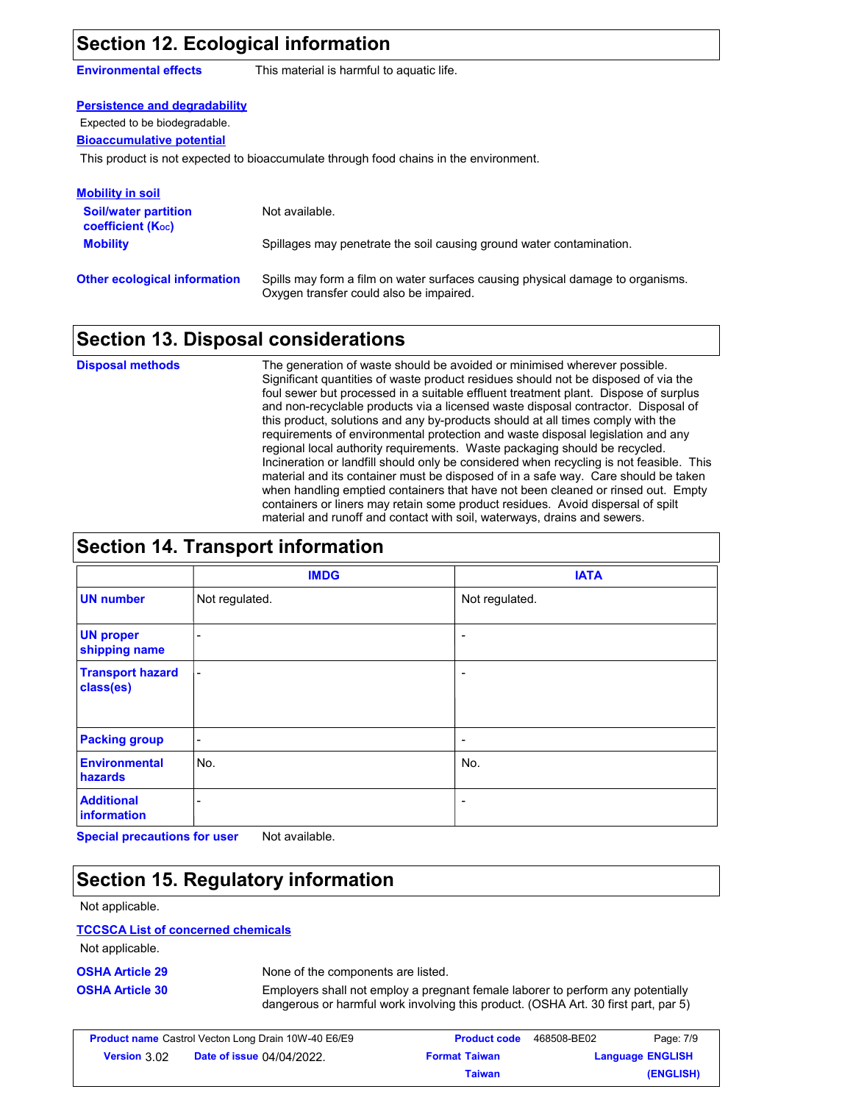## **Section 12. Ecological information**

**Environmental effects** This material is harmful to aquatic life.

#### **Persistence and degradability**

Expected to be biodegradable.

#### **Bioaccumulative potential**

This product is not expected to bioaccumulate through food chains in the environment.

| <u>Mobility in soil</u>                                              |                                                                                                                           |
|----------------------------------------------------------------------|---------------------------------------------------------------------------------------------------------------------------|
| <b>Soil/water partition</b><br><b>coefficient</b> (K <sub>oc</sub> ) | Not available.                                                                                                            |
| <b>Mobility</b>                                                      | Spillages may penetrate the soil causing ground water contamination.                                                      |
| <b>Other ecological information</b>                                  | Spills may form a film on water surfaces causing physical damage to organisms.<br>Oxygen transfer could also be impaired. |

### **Section 13. Disposal considerations**

The generation of waste should be avoided or minimised wherever possible. Significant quantities of waste product residues should not be disposed of via the foul sewer but processed in a suitable effluent treatment plant. Dispose of surplus and non-recyclable products via a licensed waste disposal contractor. Disposal of this product, solutions and any by-products should at all times comply with the requirements of environmental protection and waste disposal legislation and any regional local authority requirements. Waste packaging should be recycled. Incineration or landfill should only be considered when recycling is not feasible. This material and its container must be disposed of in a safe way. Care should be taken when handling emptied containers that have not been cleaned or rinsed out. Empty containers or liners may retain some product residues. Avoid dispersal of spilt material and runoff and contact with soil, waterways, drains and sewers. **Disposal methods**

## **Section 14. Transport information**

|                                      | <b>IMDG</b>              | <b>IATA</b>              |
|--------------------------------------|--------------------------|--------------------------|
| <b>UN number</b>                     | Not regulated.           | Not regulated.           |
| <b>UN proper</b><br>shipping name    | $\overline{\phantom{a}}$ | ٠                        |
| <b>Transport hazard</b><br>class(es) | $\overline{\phantom{a}}$ | ٠                        |
| <b>Packing group</b>                 | $\overline{\phantom{a}}$ | $\overline{\phantom{a}}$ |
| <b>Environmental</b><br>hazards      | No.                      | No.                      |
| <b>Additional</b><br>information     | $\overline{\phantom{0}}$ |                          |

**Special precautions for user** Not available.

# **Section 15. Regulatory information**

Not applicable.

#### **TCCSCA List of concerned chemicals**

Not applicable.

**OSHA Article 29** None of the components are listed.

**OSHA Article 30** Employers shall not employ a pregnant female laborer to perform any potentially dangerous or harmful work involving this product. (OSHA Art. 30 first part, par 5)

|              | <b>Product name</b> Castrol Vecton Long Drain 10W-40 E6/E9 | <b>Product code</b><br>468508-BE02 |                         | Page: 7/9 |  |  |
|--------------|------------------------------------------------------------|------------------------------------|-------------------------|-----------|--|--|
| Version 3.02 | <b>Date of issue 04/04/2022.</b>                           | <b>Format Taiwan</b>               | <b>Language ENGLISH</b> |           |  |  |
|              |                                                            | Taiwan                             |                         | (ENGLISH) |  |  |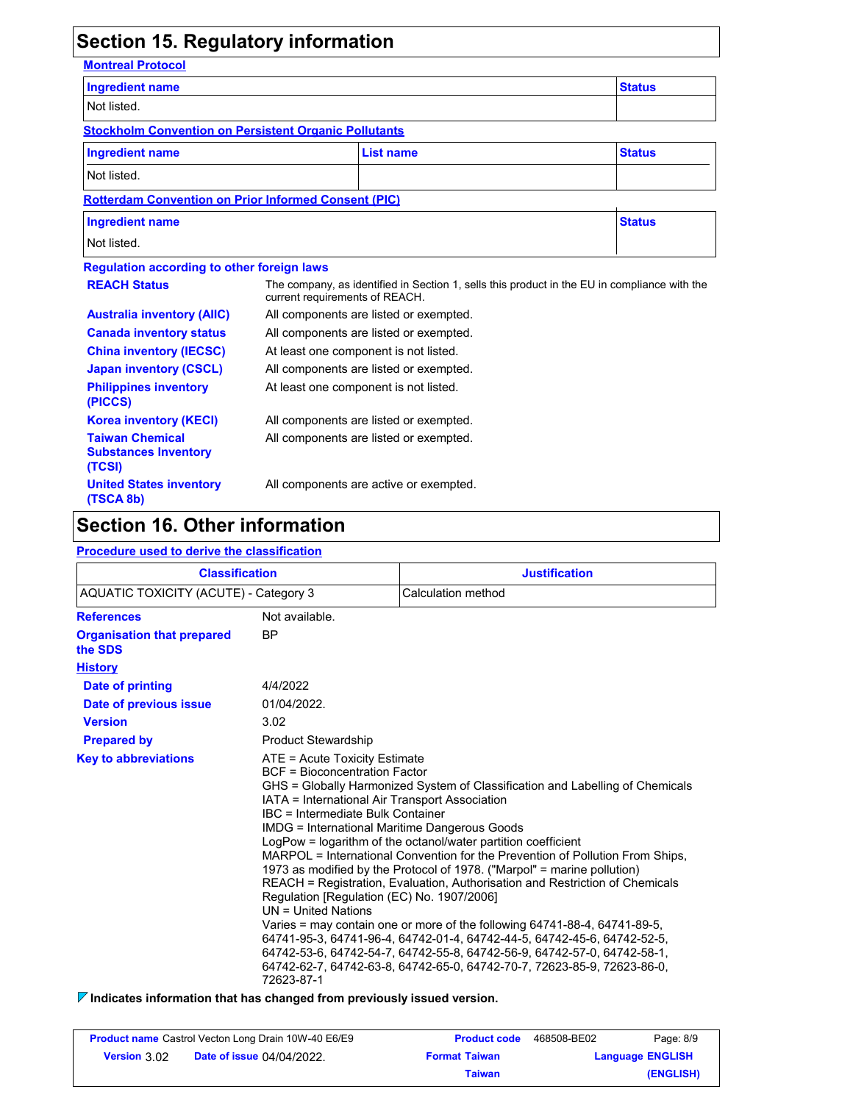# **Section 15. Regulatory information**

**Montreal Protocol**

| <b>Ingredient name</b>                                          |                                                                                                                                |                                        | <b>Status</b> |  |
|-----------------------------------------------------------------|--------------------------------------------------------------------------------------------------------------------------------|----------------------------------------|---------------|--|
| Not listed.                                                     |                                                                                                                                |                                        |               |  |
| <b>Stockholm Convention on Persistent Organic Pollutants</b>    |                                                                                                                                |                                        |               |  |
| <b>Ingredient name</b>                                          |                                                                                                                                | <b>List name</b>                       | <b>Status</b> |  |
| Not listed.                                                     |                                                                                                                                |                                        |               |  |
| <b>Rotterdam Convention on Prior Informed Consent (PIC)</b>     |                                                                                                                                |                                        |               |  |
| <b>Ingredient name</b>                                          |                                                                                                                                |                                        | <b>Status</b> |  |
| Not listed.                                                     |                                                                                                                                |                                        |               |  |
| <b>Regulation according to other foreign laws</b>               |                                                                                                                                |                                        |               |  |
| <b>REACH Status</b>                                             | The company, as identified in Section 1, sells this product in the EU in compliance with the<br>current requirements of REACH. |                                        |               |  |
| <b>Australia inventory (AIIC)</b>                               | All components are listed or exempted.                                                                                         |                                        |               |  |
| <b>Canada inventory status</b>                                  |                                                                                                                                | All components are listed or exempted. |               |  |
| <b>China inventory (IECSC)</b>                                  |                                                                                                                                | At least one component is not listed.  |               |  |
| <b>Japan inventory (CSCL)</b>                                   |                                                                                                                                | All components are listed or exempted. |               |  |
| <b>Philippines inventory</b><br>(PICCS)                         |                                                                                                                                | At least one component is not listed.  |               |  |
| <b>Korea inventory (KECI)</b>                                   |                                                                                                                                | All components are listed or exempted. |               |  |
| <b>Taiwan Chemical</b><br><b>Substances Inventory</b><br>(TCSI) | All components are listed or exempted.                                                                                         |                                        |               |  |
| <b>United States inventory</b><br>(TSCA 8b)                     |                                                                                                                                | All components are active or exempted. |               |  |

## **Section 16. Other information**

#### **Procedure used to derive the classification**

| <b>Classification</b>                        |                                                                                                                                                                                                                                                                                                             | <b>Justification</b>                                                                                                                                                                                                                                                                                                                                                                                                                                                                                                                                                                                                                                                                                     |
|----------------------------------------------|-------------------------------------------------------------------------------------------------------------------------------------------------------------------------------------------------------------------------------------------------------------------------------------------------------------|----------------------------------------------------------------------------------------------------------------------------------------------------------------------------------------------------------------------------------------------------------------------------------------------------------------------------------------------------------------------------------------------------------------------------------------------------------------------------------------------------------------------------------------------------------------------------------------------------------------------------------------------------------------------------------------------------------|
| AQUATIC TOXICITY (ACUTE) - Category 3        |                                                                                                                                                                                                                                                                                                             | Calculation method                                                                                                                                                                                                                                                                                                                                                                                                                                                                                                                                                                                                                                                                                       |
| <b>References</b>                            | Not available.                                                                                                                                                                                                                                                                                              |                                                                                                                                                                                                                                                                                                                                                                                                                                                                                                                                                                                                                                                                                                          |
| <b>Organisation that prepared</b><br>the SDS | <b>BP</b>                                                                                                                                                                                                                                                                                                   |                                                                                                                                                                                                                                                                                                                                                                                                                                                                                                                                                                                                                                                                                                          |
| <b>History</b>                               |                                                                                                                                                                                                                                                                                                             |                                                                                                                                                                                                                                                                                                                                                                                                                                                                                                                                                                                                                                                                                                          |
| Date of printing                             | 4/4/2022                                                                                                                                                                                                                                                                                                    |                                                                                                                                                                                                                                                                                                                                                                                                                                                                                                                                                                                                                                                                                                          |
| Date of previous issue                       | 01/04/2022.                                                                                                                                                                                                                                                                                                 |                                                                                                                                                                                                                                                                                                                                                                                                                                                                                                                                                                                                                                                                                                          |
| <b>Version</b>                               | 3.02                                                                                                                                                                                                                                                                                                        |                                                                                                                                                                                                                                                                                                                                                                                                                                                                                                                                                                                                                                                                                                          |
| <b>Prepared by</b>                           | <b>Product Stewardship</b>                                                                                                                                                                                                                                                                                  |                                                                                                                                                                                                                                                                                                                                                                                                                                                                                                                                                                                                                                                                                                          |
| <b>Key to abbreviations</b>                  | $ATE = Acute Toxicity Estimate$<br><b>BCF</b> = Bioconcentration Factor<br>IATA = International Air Transport Association<br>IBC = Intermediate Bulk Container<br><b>IMDG</b> = International Maritime Dangerous Goods<br>Regulation [Regulation (EC) No. 1907/2006]<br>$UN = United Nations$<br>72623-87-1 | GHS = Globally Harmonized System of Classification and Labelling of Chemicals<br>LogPow = logarithm of the octanol/water partition coefficient<br>MARPOL = International Convention for the Prevention of Pollution From Ships,<br>1973 as modified by the Protocol of 1978. ("Marpol" = marine pollution)<br>REACH = Registration, Evaluation, Authorisation and Restriction of Chemicals<br>Varies = may contain one or more of the following 64741-88-4, 64741-89-5,<br>64741-95-3, 64741-96-4, 64742-01-4, 64742-44-5, 64742-45-6, 64742-52-5,<br>64742-53-6, 64742-54-7, 64742-55-8, 64742-56-9, 64742-57-0, 64742-58-1,<br>64742-62-7, 64742-63-8, 64742-65-0, 64742-70-7, 72623-85-9, 72623-86-0, |

**Indicates information that has changed from previously issued version.**

| <b>Product name</b> Castrol Vecton Long Drain 10W-40 E6/E9 |                                  | <b>Product code</b>  | 468508-BE02             | Page: 8/9 |
|------------------------------------------------------------|----------------------------------|----------------------|-------------------------|-----------|
| <b>Version 3.02</b>                                        | <b>Date of issue 04/04/2022.</b> | <b>Format Taiwan</b> | <b>Language ENGLISH</b> |           |
|                                                            |                                  | Taiwan               |                         | (ENGLISH) |